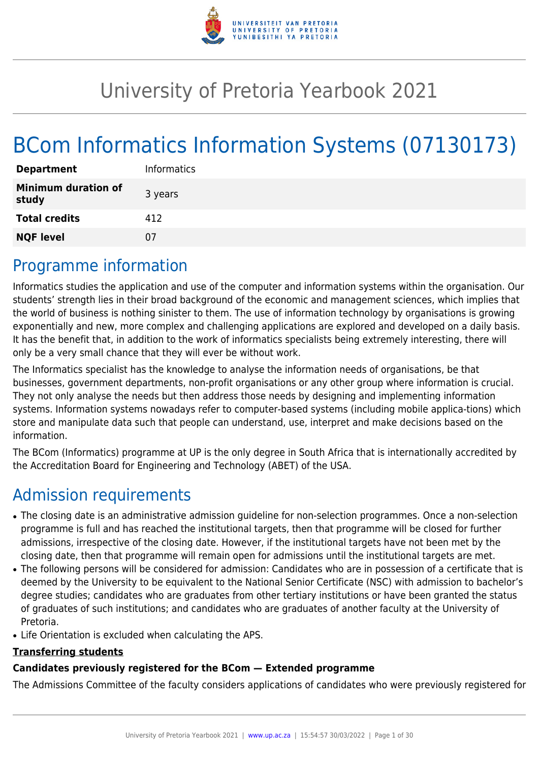

# University of Pretoria Yearbook 2021

# BCom Informatics Information Systems (07130173)

## Programme information

Informatics studies the application and use of the computer and information systems within the organisation. Our students' strength lies in their broad background of the economic and management sciences, which implies that the world of business is nothing sinister to them. The use of information technology by organisations is growing exponentially and new, more complex and challenging applications are explored and developed on a daily basis. It has the benefit that, in addition to the work of informatics specialists being extremely interesting, there will only be a very small chance that they will ever be without work.

The Informatics specialist has the knowledge to analyse the information needs of organisations, be that businesses, government departments, non-profit organisations or any other group where information is crucial. They not only analyse the needs but then address those needs by designing and implementing information systems. Information systems nowadays refer to computer-based systems (including mobile applica-tions) which store and manipulate data such that people can understand, use, interpret and make decisions based on the information.

The BCom (Informatics) programme at UP is the only degree in South Africa that is internationally accredited by the Accreditation Board for Engineering and Technology (ABET) of the USA.

## Admission requirements

- The closing date is an administrative admission guideline for non-selection programmes. Once a non-selection programme is full and has reached the institutional targets, then that programme will be closed for further admissions, irrespective of the closing date. However, if the institutional targets have not been met by the closing date, then that programme will remain open for admissions until the institutional targets are met.
- The following persons will be considered for admission: Candidates who are in possession of a certificate that is deemed by the University to be equivalent to the National Senior Certificate (NSC) with admission to bachelor's degree studies; candidates who are graduates from other tertiary institutions or have been granted the status of graduates of such institutions; and candidates who are graduates of another faculty at the University of Pretoria.
- Life Orientation is excluded when calculating the APS.

#### **Transferring students**

## **Candidates previously registered for the BCom — Extended programme**

The Admissions Committee of the faculty considers applications of candidates who were previously registered for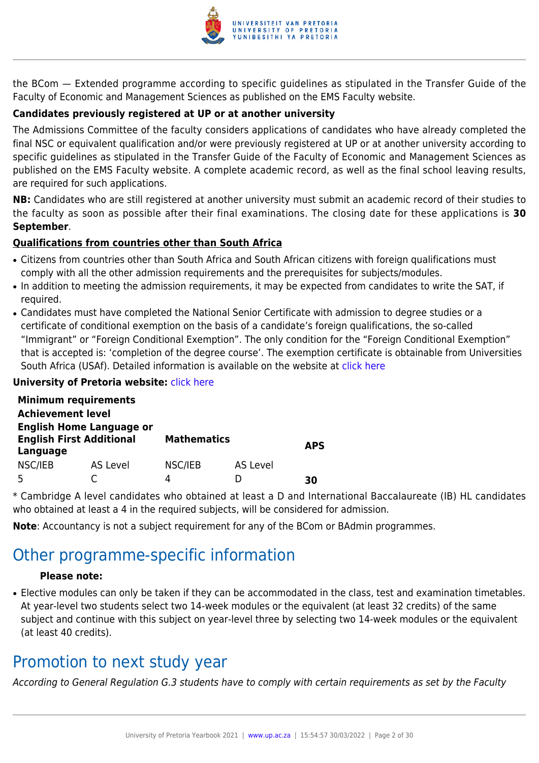

the BCom — Extended programme according to specific guidelines as stipulated in the Transfer Guide of the Faculty of Economic and Management Sciences as published on the EMS Faculty website.

### **Candidates previously registered at UP or at another university**

The Admissions Committee of the faculty considers applications of candidates who have already completed the final NSC or equivalent qualification and/or were previously registered at UP or at another university according to specific guidelines as stipulated in the Transfer Guide of the Faculty of Economic and Management Sciences as published on the EMS Faculty website. A complete academic record, as well as the final school leaving results, are required for such applications.

**NB:** Candidates who are still registered at another university must submit an academic record of their studies to the faculty as soon as possible after their final examinations. The closing date for these applications is **30 September**.

#### **Qualifications from countries other than South Africa**

- Citizens from countries other than South Africa and South African citizens with foreign qualifications must comply with all the other admission requirements and the prerequisites for subjects/modules.
- In addition to meeting the admission requirements, it may be expected from candidates to write the SAT, if required.
- Candidates must have completed the National Senior Certificate with admission to degree studies or a certificate of conditional exemption on the basis of a candidate's foreign qualifications, the so-called "Immigrant" or "Foreign Conditional Exemption". The only condition for the "Foreign Conditional Exemption" that is accepted is: 'completion of the degree course'. The exemption certificate is obtainable from Universities South Africa (USAf). Detailed information is available on the website at [click here](http://mb.usaf.ac.za)

#### **University of Pretoria website: [click here](http://www.up.ac.za/ems)**

|                                                                                | <b>Minimum requirements</b> |                    |          |            |
|--------------------------------------------------------------------------------|-----------------------------|--------------------|----------|------------|
| <b>Achievement level</b>                                                       |                             |                    |          |            |
| <b>English Home Language or</b><br><b>English First Additional</b><br>Language |                             | <b>Mathematics</b> |          | <b>APS</b> |
| NSC/IEB                                                                        | AS Level                    | NSC/IEB            | AS Level |            |
|                                                                                |                             | 4                  |          | RΩ         |

\* Cambridge A level candidates who obtained at least a D and International Baccalaureate (IB) HL candidates who obtained at least a 4 in the required subjects, will be considered for admission.

**Note**: Accountancy is not a subject requirement for any of the BCom or BAdmin programmes.

## Other programme-specific information

#### **Please note:**

• Elective modules can only be taken if they can be accommodated in the class, test and examination timetables. At year-level two students select two 14-week modules or the equivalent (at least 32 credits) of the same subject and continue with this subject on year-level three by selecting two 14-week modules or the equivalent (at least 40 credits).

## Promotion to next study year

According to General Regulation G.3 students have to comply with certain requirements as set by the Faculty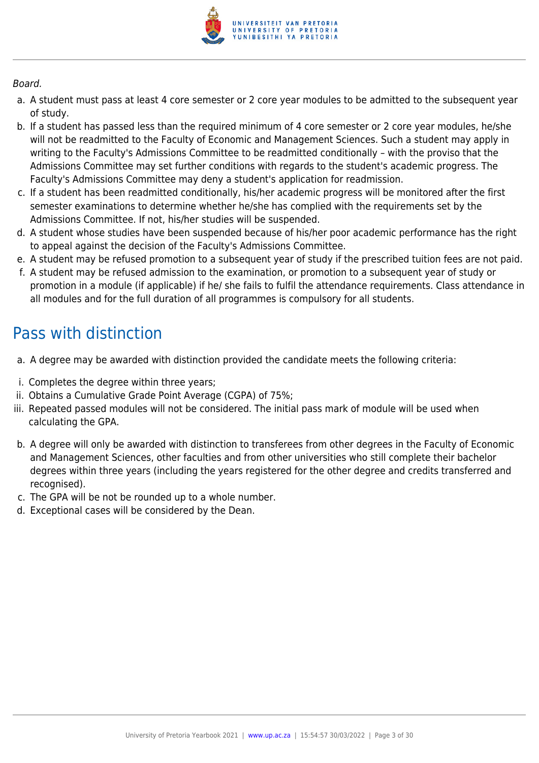

#### Board.

- a. A student must pass at least 4 core semester or 2 core year modules to be admitted to the subsequent year of study.
- b. If a student has passed less than the required minimum of 4 core semester or 2 core year modules, he/she will not be readmitted to the Faculty of Economic and Management Sciences. Such a student may apply in writing to the Faculty's Admissions Committee to be readmitted conditionally – with the proviso that the Admissions Committee may set further conditions with regards to the student's academic progress. The Faculty's Admissions Committee may deny a student's application for readmission.
- c. If a student has been readmitted conditionally, his/her academic progress will be monitored after the first semester examinations to determine whether he/she has complied with the requirements set by the Admissions Committee. If not, his/her studies will be suspended.
- d. A student whose studies have been suspended because of his/her poor academic performance has the right to appeal against the decision of the Faculty's Admissions Committee.
- e. A student may be refused promotion to a subsequent year of study if the prescribed tuition fees are not paid.
- f. A student may be refused admission to the examination, or promotion to a subsequent year of study or promotion in a module (if applicable) if he/ she fails to fulfil the attendance requirements. Class attendance in all modules and for the full duration of all programmes is compulsory for all students.

## Pass with distinction

- a. A degree may be awarded with distinction provided the candidate meets the following criteria:
- i. Completes the degree within three years;
- ii. Obtains a Cumulative Grade Point Average (CGPA) of 75%;
- iii. Repeated passed modules will not be considered. The initial pass mark of module will be used when calculating the GPA.
- b. A degree will only be awarded with distinction to transferees from other degrees in the Faculty of Economic and Management Sciences, other faculties and from other universities who still complete their bachelor degrees within three years (including the years registered for the other degree and credits transferred and recognised).
- c. The GPA will be not be rounded up to a whole number.
- d. Exceptional cases will be considered by the Dean.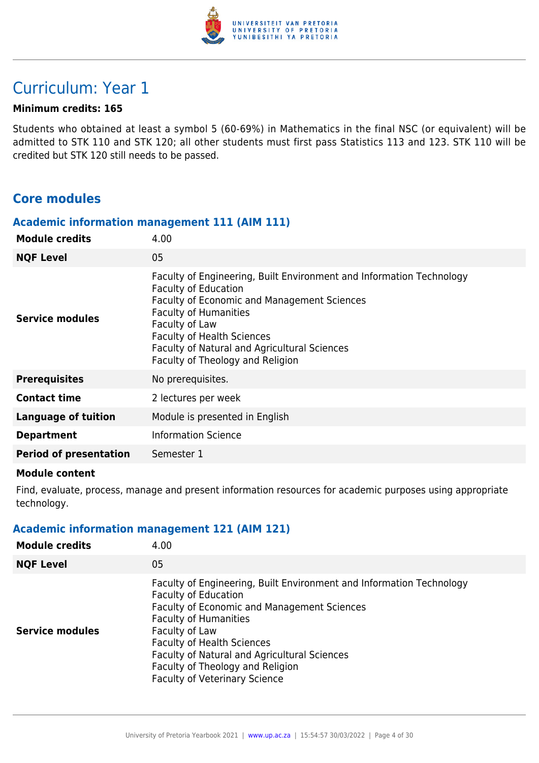

## Curriculum: Year 1

#### **Minimum credits: 165**

Students who obtained at least a symbol 5 (60-69%) in Mathematics in the final NSC (or equivalent) will be admitted to STK 110 and STK 120; all other students must first pass Statistics 113 and 123. STK 110 will be credited but STK 120 still needs to be passed.

## **Core modules**

#### **Academic information management 111 (AIM 111)**

| <b>Module credits</b>         | 4.00                                                                                                                                                                                                                                                                                                                          |
|-------------------------------|-------------------------------------------------------------------------------------------------------------------------------------------------------------------------------------------------------------------------------------------------------------------------------------------------------------------------------|
| <b>NQF Level</b>              | 05                                                                                                                                                                                                                                                                                                                            |
| <b>Service modules</b>        | Faculty of Engineering, Built Environment and Information Technology<br><b>Faculty of Education</b><br>Faculty of Economic and Management Sciences<br><b>Faculty of Humanities</b><br>Faculty of Law<br><b>Faculty of Health Sciences</b><br>Faculty of Natural and Agricultural Sciences<br>Faculty of Theology and Religion |
| <b>Prerequisites</b>          | No prerequisites.                                                                                                                                                                                                                                                                                                             |
| <b>Contact time</b>           | 2 lectures per week                                                                                                                                                                                                                                                                                                           |
| <b>Language of tuition</b>    | Module is presented in English                                                                                                                                                                                                                                                                                                |
| <b>Department</b>             | <b>Information Science</b>                                                                                                                                                                                                                                                                                                    |
| <b>Period of presentation</b> | Semester 1                                                                                                                                                                                                                                                                                                                    |

#### **Module content**

Find, evaluate, process, manage and present information resources for academic purposes using appropriate technology.

## **Academic information management 121 (AIM 121)**

| <b>Module credits</b>  | 4.00                                                                                                                                                                                                                                                                                                                                                                  |
|------------------------|-----------------------------------------------------------------------------------------------------------------------------------------------------------------------------------------------------------------------------------------------------------------------------------------------------------------------------------------------------------------------|
| <b>NQF Level</b>       | 05                                                                                                                                                                                                                                                                                                                                                                    |
| <b>Service modules</b> | Faculty of Engineering, Built Environment and Information Technology<br><b>Faculty of Education</b><br>Faculty of Economic and Management Sciences<br><b>Faculty of Humanities</b><br>Faculty of Law<br><b>Faculty of Health Sciences</b><br>Faculty of Natural and Agricultural Sciences<br>Faculty of Theology and Religion<br><b>Faculty of Veterinary Science</b> |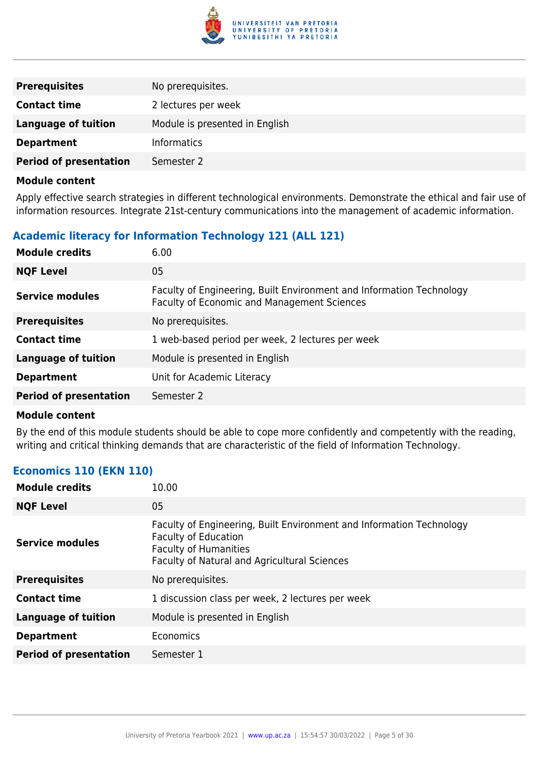

| <b>Prerequisites</b>          | No prerequisites.              |
|-------------------------------|--------------------------------|
| <b>Contact time</b>           | 2 lectures per week            |
| <b>Language of tuition</b>    | Module is presented in English |
| <b>Department</b>             | Informatics                    |
| <b>Period of presentation</b> | Semester 2                     |

Apply effective search strategies in different technological environments. Demonstrate the ethical and fair use of information resources. Integrate 21st-century communications into the management of academic information.

## **Academic literacy for Information Technology 121 (ALL 121)**

| <b>Module credits</b>         | 6.00                                                                                                                |
|-------------------------------|---------------------------------------------------------------------------------------------------------------------|
| <b>NQF Level</b>              | 05                                                                                                                  |
| <b>Service modules</b>        | Faculty of Engineering, Built Environment and Information Technology<br>Faculty of Economic and Management Sciences |
| <b>Prerequisites</b>          | No prerequisites.                                                                                                   |
| <b>Contact time</b>           | 1 web-based period per week, 2 lectures per week                                                                    |
| <b>Language of tuition</b>    | Module is presented in English                                                                                      |
| <b>Department</b>             | Unit for Academic Literacy                                                                                          |
| <b>Period of presentation</b> | Semester 2                                                                                                          |

#### **Module content**

By the end of this module students should be able to cope more confidently and competently with the reading, writing and critical thinking demands that are characteristic of the field of Information Technology.

#### **Economics 110 (EKN 110)**

| 10.00                                                                                                                                                                               |
|-------------------------------------------------------------------------------------------------------------------------------------------------------------------------------------|
| 05                                                                                                                                                                                  |
| Faculty of Engineering, Built Environment and Information Technology<br><b>Faculty of Education</b><br><b>Faculty of Humanities</b><br>Faculty of Natural and Agricultural Sciences |
| No prerequisites.                                                                                                                                                                   |
| 1 discussion class per week, 2 lectures per week                                                                                                                                    |
| Module is presented in English                                                                                                                                                      |
| Economics                                                                                                                                                                           |
| Semester 1                                                                                                                                                                          |
|                                                                                                                                                                                     |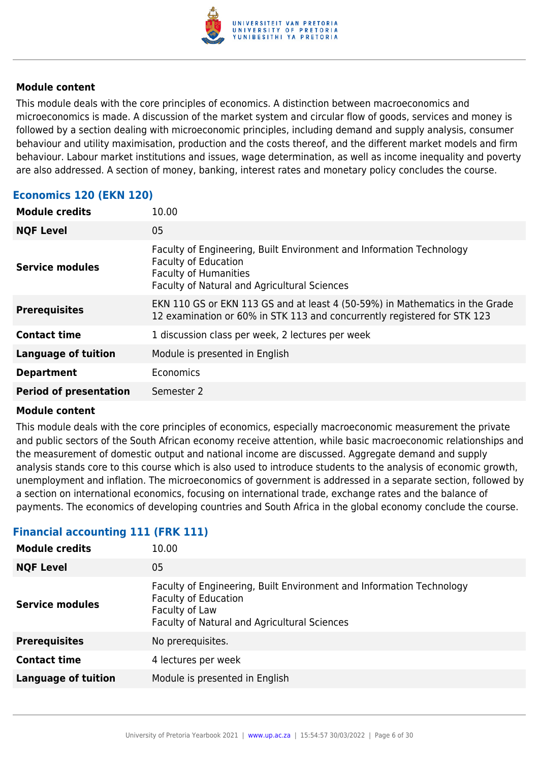

This module deals with the core principles of economics. A distinction between macroeconomics and microeconomics is made. A discussion of the market system and circular flow of goods, services and money is followed by a section dealing with microeconomic principles, including demand and supply analysis, consumer behaviour and utility maximisation, production and the costs thereof, and the different market models and firm behaviour. Labour market institutions and issues, wage determination, as well as income inequality and poverty are also addressed. A section of money, banking, interest rates and monetary policy concludes the course.

#### **Economics 120 (EKN 120)**

| <b>Module credits</b>         | 10.00                                                                                                                                                                               |
|-------------------------------|-------------------------------------------------------------------------------------------------------------------------------------------------------------------------------------|
| <b>NQF Level</b>              | 05                                                                                                                                                                                  |
| Service modules               | Faculty of Engineering, Built Environment and Information Technology<br><b>Faculty of Education</b><br><b>Faculty of Humanities</b><br>Faculty of Natural and Agricultural Sciences |
| <b>Prerequisites</b>          | EKN 110 GS or EKN 113 GS and at least 4 (50-59%) in Mathematics in the Grade<br>12 examination or 60% in STK 113 and concurrently registered for STK 123                            |
| <b>Contact time</b>           | 1 discussion class per week, 2 lectures per week                                                                                                                                    |
| <b>Language of tuition</b>    | Module is presented in English                                                                                                                                                      |
| <b>Department</b>             | Economics                                                                                                                                                                           |
| <b>Period of presentation</b> | Semester 2                                                                                                                                                                          |

#### **Module content**

This module deals with the core principles of economics, especially macroeconomic measurement the private and public sectors of the South African economy receive attention, while basic macroeconomic relationships and the measurement of domestic output and national income are discussed. Aggregate demand and supply analysis stands core to this course which is also used to introduce students to the analysis of economic growth, unemployment and inflation. The microeconomics of government is addressed in a separate section, followed by a section on international economics, focusing on international trade, exchange rates and the balance of payments. The economics of developing countries and South Africa in the global economy conclude the course.

| <b>Module credits</b>      | 10.00                                                                                                                                                                 |
|----------------------------|-----------------------------------------------------------------------------------------------------------------------------------------------------------------------|
| <b>NQF Level</b>           | 05                                                                                                                                                                    |
| <b>Service modules</b>     | Faculty of Engineering, Built Environment and Information Technology<br><b>Faculty of Education</b><br>Faculty of Law<br>Faculty of Natural and Agricultural Sciences |
| <b>Prerequisites</b>       | No prerequisites.                                                                                                                                                     |
| <b>Contact time</b>        | 4 lectures per week                                                                                                                                                   |
| <b>Language of tuition</b> | Module is presented in English                                                                                                                                        |

## **Financial accounting 111 (FRK 111)**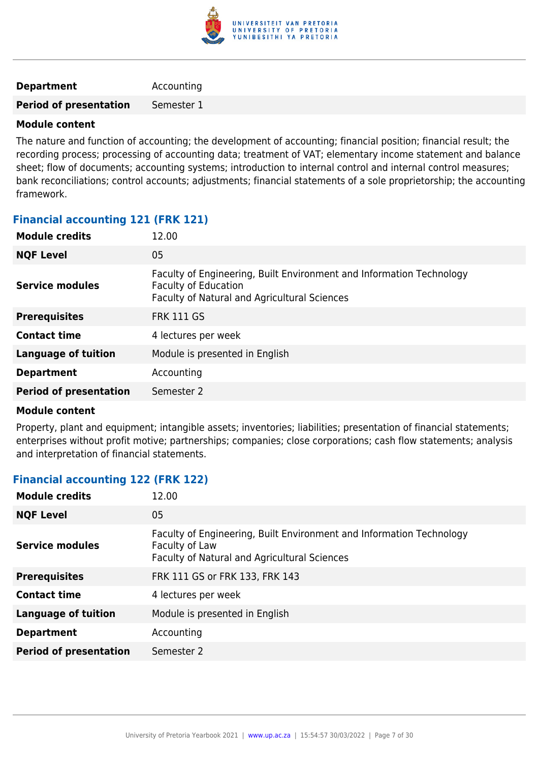

#### **Department** Accounting

**Period of presentation** Semester 1

#### **Module content**

The nature and function of accounting; the development of accounting; financial position; financial result; the recording process; processing of accounting data; treatment of VAT; elementary income statement and balance sheet; flow of documents; accounting systems; introduction to internal control and internal control measures; bank reconciliations; control accounts; adjustments; financial statements of a sole proprietorship; the accounting framework.

#### **Financial accounting 121 (FRK 121)**

| 12.00                                                                                                                                               |
|-----------------------------------------------------------------------------------------------------------------------------------------------------|
| 05                                                                                                                                                  |
| Faculty of Engineering, Built Environment and Information Technology<br><b>Faculty of Education</b><br>Faculty of Natural and Agricultural Sciences |
| <b>FRK 111 GS</b>                                                                                                                                   |
| 4 lectures per week                                                                                                                                 |
| Module is presented in English                                                                                                                      |
| Accounting                                                                                                                                          |
| Semester 2                                                                                                                                          |
|                                                                                                                                                     |

#### **Module content**

Property, plant and equipment; intangible assets; inventories; liabilities; presentation of financial statements; enterprises without profit motive; partnerships; companies; close corporations; cash flow statements; analysis and interpretation of financial statements.

## **Financial accounting 122 (FRK 122)**

| <b>Module credits</b>         | 12.00                                                                                                                                  |
|-------------------------------|----------------------------------------------------------------------------------------------------------------------------------------|
| <b>NQF Level</b>              | 05                                                                                                                                     |
| <b>Service modules</b>        | Faculty of Engineering, Built Environment and Information Technology<br>Faculty of Law<br>Faculty of Natural and Agricultural Sciences |
| <b>Prerequisites</b>          | FRK 111 GS or FRK 133, FRK 143                                                                                                         |
| <b>Contact time</b>           | 4 lectures per week                                                                                                                    |
| <b>Language of tuition</b>    | Module is presented in English                                                                                                         |
| <b>Department</b>             | Accounting                                                                                                                             |
| <b>Period of presentation</b> | Semester 2                                                                                                                             |
|                               |                                                                                                                                        |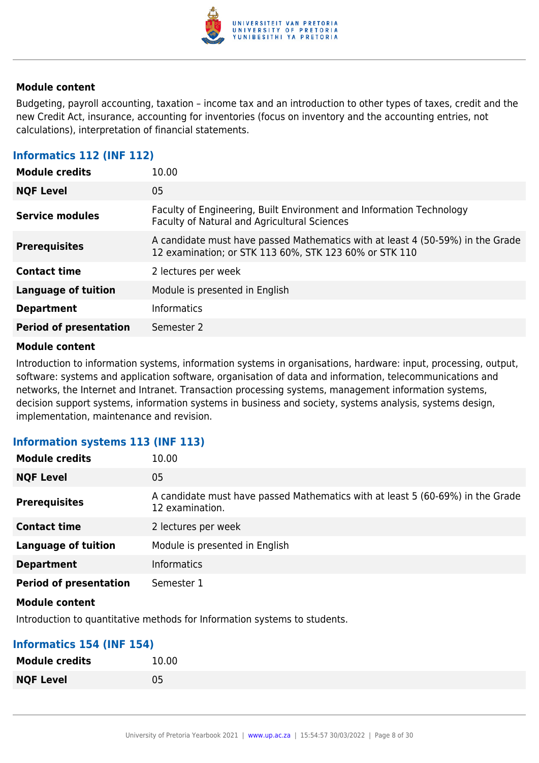

Budgeting, payroll accounting, taxation – income tax and an introduction to other types of taxes, credit and the new Credit Act, insurance, accounting for inventories (focus on inventory and the accounting entries, not calculations), interpretation of financial statements.

#### **Informatics 112 (INF 112)**

| <b>Module credits</b>         | 10.00                                                                                                                                    |
|-------------------------------|------------------------------------------------------------------------------------------------------------------------------------------|
| <b>NQF Level</b>              | 05                                                                                                                                       |
| <b>Service modules</b>        | Faculty of Engineering, Built Environment and Information Technology<br>Faculty of Natural and Agricultural Sciences                     |
| <b>Prerequisites</b>          | A candidate must have passed Mathematics with at least 4 (50-59%) in the Grade<br>12 examination; or STK 113 60%, STK 123 60% or STK 110 |
| <b>Contact time</b>           | 2 lectures per week                                                                                                                      |
| <b>Language of tuition</b>    | Module is presented in English                                                                                                           |
| <b>Department</b>             | <b>Informatics</b>                                                                                                                       |
| <b>Period of presentation</b> | Semester 2                                                                                                                               |

#### **Module content**

Introduction to information systems, information systems in organisations, hardware: input, processing, output, software: systems and application software, organisation of data and information, telecommunications and networks, the Internet and Intranet. Transaction processing systems, management information systems, decision support systems, information systems in business and society, systems analysis, systems design, implementation, maintenance and revision.

#### **Information systems 113 (INF 113)**

| <b>Module credits</b>         | 10.00                                                                                             |
|-------------------------------|---------------------------------------------------------------------------------------------------|
| <b>NQF Level</b>              | 05                                                                                                |
| <b>Prerequisites</b>          | A candidate must have passed Mathematics with at least 5 (60-69%) in the Grade<br>12 examination. |
| <b>Contact time</b>           | 2 lectures per week                                                                               |
| <b>Language of tuition</b>    | Module is presented in English                                                                    |
| <b>Department</b>             | <b>Informatics</b>                                                                                |
| <b>Period of presentation</b> | Semester 1                                                                                        |

#### **Module content**

Introduction to quantitative methods for Information systems to students.

#### **Informatics 154 (INF 154)**

| <b>Module credits</b> | 10.00 |
|-----------------------|-------|
| <b>NQF Level</b>      | 05    |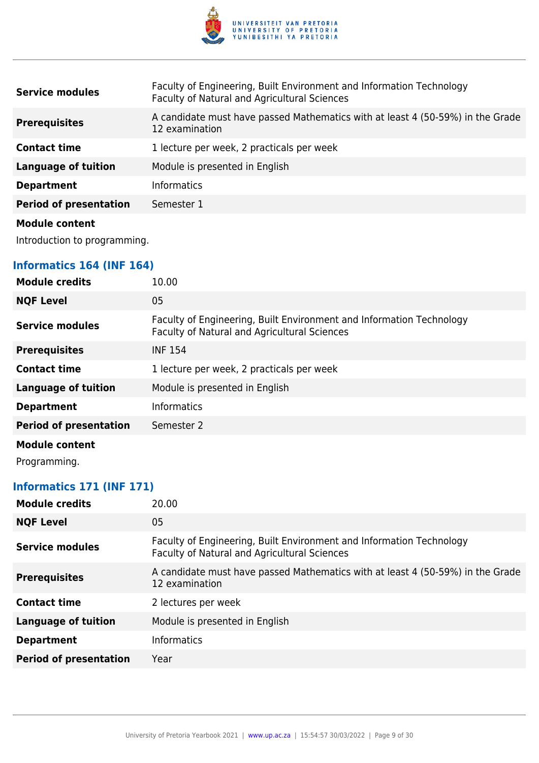

| <b>Service modules</b>        | Faculty of Engineering, Built Environment and Information Technology<br>Faculty of Natural and Agricultural Sciences |
|-------------------------------|----------------------------------------------------------------------------------------------------------------------|
| <b>Prerequisites</b>          | A candidate must have passed Mathematics with at least 4 (50-59%) in the Grade<br>12 examination                     |
| <b>Contact time</b>           | 1 lecture per week, 2 practicals per week                                                                            |
| <b>Language of tuition</b>    | Module is presented in English                                                                                       |
| <b>Department</b>             | <b>Informatics</b>                                                                                                   |
| <b>Period of presentation</b> | Semester 1                                                                                                           |
| Module content                |                                                                                                                      |

Introduction to programming.

## **Informatics 164 (INF 164)**

| <b>Module credits</b>         | 10.00                                                                                                                |
|-------------------------------|----------------------------------------------------------------------------------------------------------------------|
| <b>NQF Level</b>              | 05                                                                                                                   |
| <b>Service modules</b>        | Faculty of Engineering, Built Environment and Information Technology<br>Faculty of Natural and Agricultural Sciences |
| <b>Prerequisites</b>          | <b>INF 154</b>                                                                                                       |
| <b>Contact time</b>           | 1 lecture per week, 2 practicals per week                                                                            |
| <b>Language of tuition</b>    | Module is presented in English                                                                                       |
| <b>Department</b>             | <b>Informatics</b>                                                                                                   |
| <b>Period of presentation</b> | Semester 2                                                                                                           |
| <b>Module content</b>         |                                                                                                                      |

Programming.

## **Informatics 171 (INF 171)**

| <b>NQF Level</b><br>05<br>Faculty of Engineering, Built Environment and Information Technology<br>Service modules<br>Faculty of Natural and Agricultural Sciences<br>A candidate must have passed Mathematics with at least 4 (50-59%) in the Grade<br><b>Prerequisites</b><br>12 examination<br><b>Contact time</b><br>2 lectures per week<br><b>Language of tuition</b><br>Module is presented in English<br><b>Informatics</b><br><b>Department</b><br><b>Period of presentation</b><br>Year | <b>Module credits</b> | 20.00 |
|-------------------------------------------------------------------------------------------------------------------------------------------------------------------------------------------------------------------------------------------------------------------------------------------------------------------------------------------------------------------------------------------------------------------------------------------------------------------------------------------------|-----------------------|-------|
|                                                                                                                                                                                                                                                                                                                                                                                                                                                                                                 |                       |       |
|                                                                                                                                                                                                                                                                                                                                                                                                                                                                                                 |                       |       |
|                                                                                                                                                                                                                                                                                                                                                                                                                                                                                                 |                       |       |
|                                                                                                                                                                                                                                                                                                                                                                                                                                                                                                 |                       |       |
|                                                                                                                                                                                                                                                                                                                                                                                                                                                                                                 |                       |       |
|                                                                                                                                                                                                                                                                                                                                                                                                                                                                                                 |                       |       |
|                                                                                                                                                                                                                                                                                                                                                                                                                                                                                                 |                       |       |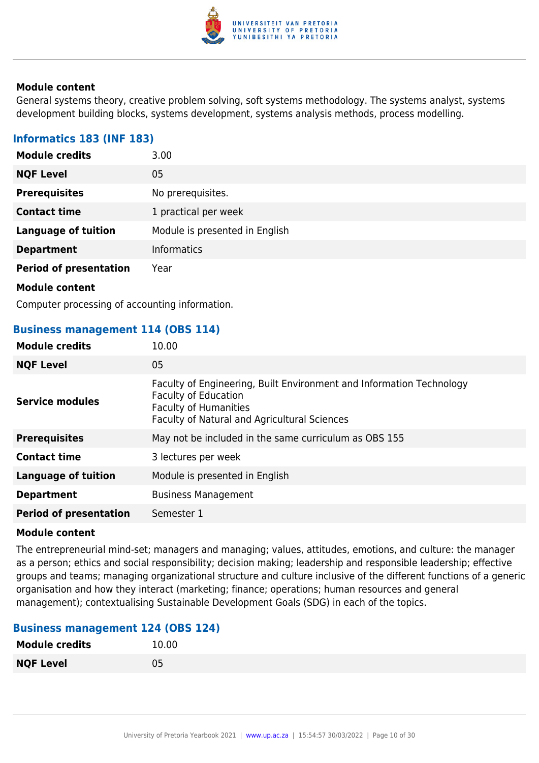

General systems theory, creative problem solving, soft systems methodology. The systems analyst, systems development building blocks, systems development, systems analysis methods, process modelling.

## **Informatics 183 (INF 183)**

| <b>Module credits</b>         | 3.00                           |
|-------------------------------|--------------------------------|
| <b>NQF Level</b>              | 05                             |
| <b>Prerequisites</b>          | No prerequisites.              |
| <b>Contact time</b>           | 1 practical per week           |
| <b>Language of tuition</b>    | Module is presented in English |
| <b>Department</b>             | <b>Informatics</b>             |
| <b>Period of presentation</b> | Year                           |
| <b>Module content</b>         |                                |

Computer processing of accounting information.

#### **Business management 114 (OBS 114)**

| <b>Module credits</b>         | 10.00                                                                                                                                                                               |
|-------------------------------|-------------------------------------------------------------------------------------------------------------------------------------------------------------------------------------|
| <b>NQF Level</b>              | 05                                                                                                                                                                                  |
| <b>Service modules</b>        | Faculty of Engineering, Built Environment and Information Technology<br><b>Faculty of Education</b><br><b>Faculty of Humanities</b><br>Faculty of Natural and Agricultural Sciences |
| <b>Prerequisites</b>          | May not be included in the same curriculum as OBS 155                                                                                                                               |
| <b>Contact time</b>           | 3 lectures per week                                                                                                                                                                 |
| <b>Language of tuition</b>    | Module is presented in English                                                                                                                                                      |
| <b>Department</b>             | <b>Business Management</b>                                                                                                                                                          |
| <b>Period of presentation</b> | Semester 1                                                                                                                                                                          |

#### **Module content**

The entrepreneurial mind-set; managers and managing; values, attitudes, emotions, and culture: the manager as a person; ethics and social responsibility; decision making; leadership and responsible leadership; effective groups and teams; managing organizational structure and culture inclusive of the different functions of a generic organisation and how they interact (marketing; finance; operations; human resources and general management); contextualising Sustainable Development Goals (SDG) in each of the topics.

#### **Business management 124 (OBS 124)**

| <b>Module credits</b> | 10.00 |
|-----------------------|-------|
| <b>NQF Level</b>      | 05    |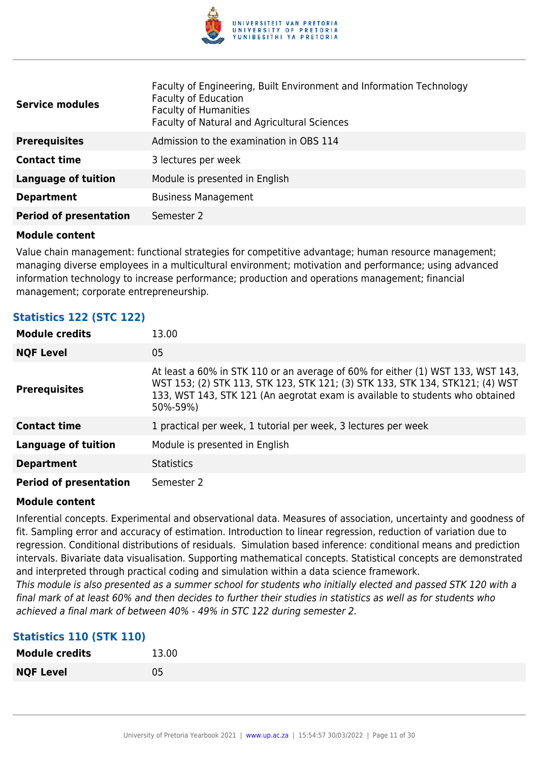

| <b>Service modules</b>        | Faculty of Engineering, Built Environment and Information Technology<br><b>Faculty of Education</b><br><b>Faculty of Humanities</b><br>Faculty of Natural and Agricultural Sciences |
|-------------------------------|-------------------------------------------------------------------------------------------------------------------------------------------------------------------------------------|
| <b>Prerequisites</b>          | Admission to the examination in OBS 114                                                                                                                                             |
| <b>Contact time</b>           | 3 lectures per week                                                                                                                                                                 |
| <b>Language of tuition</b>    | Module is presented in English                                                                                                                                                      |
| <b>Department</b>             | <b>Business Management</b>                                                                                                                                                          |
| <b>Period of presentation</b> | Semester 2                                                                                                                                                                          |

Value chain management: functional strategies for competitive advantage; human resource management; managing diverse employees in a multicultural environment; motivation and performance; using advanced information technology to increase performance; production and operations management; financial management; corporate entrepreneurship.

#### **Statistics 122 (STC 122)**

| <b>Module credits</b>         | 13.00                                                                                                                                                                                                                                                         |
|-------------------------------|---------------------------------------------------------------------------------------------------------------------------------------------------------------------------------------------------------------------------------------------------------------|
| <b>NQF Level</b>              | 05                                                                                                                                                                                                                                                            |
| <b>Prerequisites</b>          | At least a 60% in STK 110 or an average of 60% for either (1) WST 133, WST 143,<br>WST 153; (2) STK 113, STK 123, STK 121; (3) STK 133, STK 134, STK121; (4) WST<br>133, WST 143, STK 121 (An aegrotat exam is available to students who obtained<br>50%-59%) |
| <b>Contact time</b>           | 1 practical per week, 1 tutorial per week, 3 lectures per week                                                                                                                                                                                                |
| <b>Language of tuition</b>    | Module is presented in English                                                                                                                                                                                                                                |
| <b>Department</b>             | <b>Statistics</b>                                                                                                                                                                                                                                             |
| <b>Period of presentation</b> | Semester 2                                                                                                                                                                                                                                                    |

#### **Module content**

Inferential concepts. Experimental and observational data. Measures of association, uncertainty and goodness of fit. Sampling error and accuracy of estimation. Introduction to linear regression, reduction of variation due to regression. Conditional distributions of residuals. Simulation based inference: conditional means and prediction intervals. Bivariate data visualisation. Supporting mathematical concepts. Statistical concepts are demonstrated and interpreted through practical coding and simulation within a data science framework.

This module is also presented as a summer school for students who initially elected and passed STK 120 with a final mark of at least 60% and then decides to further their studies in statistics as well as for students who achieved a final mark of between 40% - 49% in STC 122 during semester 2.

#### **Statistics 110 (STK 110)**

| <b>Module credits</b> | 13.00 |
|-----------------------|-------|
| <b>NQF Level</b>      | 05    |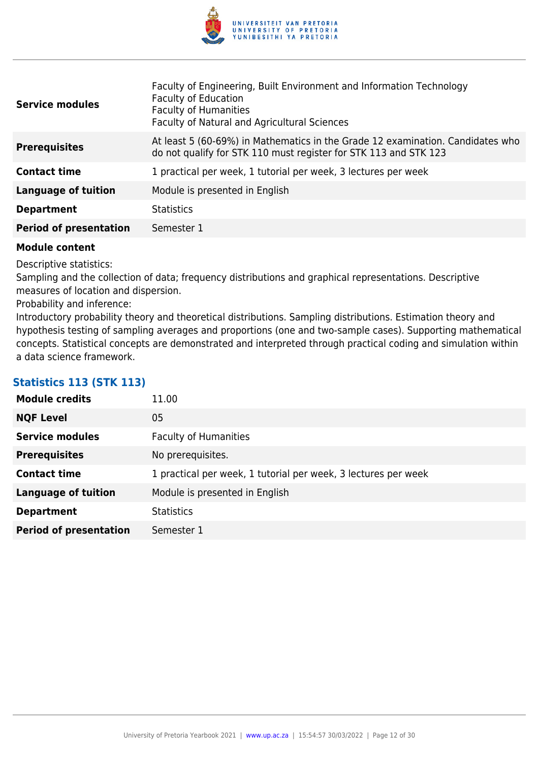

| <b>Service modules</b>        | Faculty of Engineering, Built Environment and Information Technology<br><b>Faculty of Education</b><br><b>Faculty of Humanities</b><br>Faculty of Natural and Agricultural Sciences |
|-------------------------------|-------------------------------------------------------------------------------------------------------------------------------------------------------------------------------------|
| <b>Prerequisites</b>          | At least 5 (60-69%) in Mathematics in the Grade 12 examination. Candidates who<br>do not qualify for STK 110 must register for STK 113 and STK 123                                  |
| <b>Contact time</b>           | 1 practical per week, 1 tutorial per week, 3 lectures per week                                                                                                                      |
| <b>Language of tuition</b>    | Module is presented in English                                                                                                                                                      |
| <b>Department</b>             | <b>Statistics</b>                                                                                                                                                                   |
| <b>Period of presentation</b> | Semester 1                                                                                                                                                                          |

Descriptive statistics:

Sampling and the collection of data; frequency distributions and graphical representations. Descriptive measures of location and dispersion.

Probability and inference:

Introductory probability theory and theoretical distributions. Sampling distributions. Estimation theory and hypothesis testing of sampling averages and proportions (one and two-sample cases). Supporting mathematical concepts. Statistical concepts are demonstrated and interpreted through practical coding and simulation within a data science framework.

## **Statistics 113 (STK 113)**

| <b>Module credits</b>         | 11.00                                                          |
|-------------------------------|----------------------------------------------------------------|
| <b>NQF Level</b>              | 05                                                             |
| <b>Service modules</b>        | <b>Faculty of Humanities</b>                                   |
| <b>Prerequisites</b>          | No prerequisites.                                              |
| <b>Contact time</b>           | 1 practical per week, 1 tutorial per week, 3 lectures per week |
| <b>Language of tuition</b>    | Module is presented in English                                 |
| <b>Department</b>             | <b>Statistics</b>                                              |
| <b>Period of presentation</b> | Semester 1                                                     |
|                               |                                                                |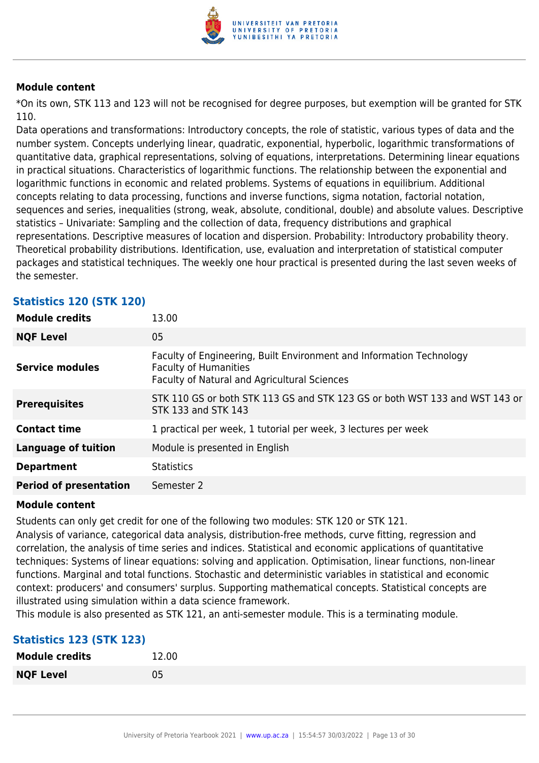

\*On its own, STK 113 and 123 will not be recognised for degree purposes, but exemption will be granted for STK 110.

Data operations and transformations: Introductory concepts, the role of statistic, various types of data and the number system. Concepts underlying linear, quadratic, exponential, hyperbolic, logarithmic transformations of quantitative data, graphical representations, solving of equations, interpretations. Determining linear equations in practical situations. Characteristics of logarithmic functions. The relationship between the exponential and logarithmic functions in economic and related problems. Systems of equations in equilibrium. Additional concepts relating to data processing, functions and inverse functions, sigma notation, factorial notation, sequences and series, inequalities (strong, weak, absolute, conditional, double) and absolute values. Descriptive statistics – Univariate: Sampling and the collection of data, frequency distributions and graphical representations. Descriptive measures of location and dispersion. Probability: Introductory probability theory. Theoretical probability distributions. Identification, use, evaluation and interpretation of statistical computer packages and statistical techniques. The weekly one hour practical is presented during the last seven weeks of the semester.

| <b>Module credits</b><br>13.00                                                                                                                                                 |  |
|--------------------------------------------------------------------------------------------------------------------------------------------------------------------------------|--|
| 05<br><b>NQF Level</b>                                                                                                                                                         |  |
| Faculty of Engineering, Built Environment and Information Technology<br><b>Service modules</b><br><b>Faculty of Humanities</b><br>Faculty of Natural and Agricultural Sciences |  |
| STK 110 GS or both STK 113 GS and STK 123 GS or both WST 133 and WST 143 or<br><b>Prerequisites</b><br>STK 133 and STK 143                                                     |  |
| <b>Contact time</b><br>1 practical per week, 1 tutorial per week, 3 lectures per week                                                                                          |  |
| <b>Language of tuition</b><br>Module is presented in English                                                                                                                   |  |
| <b>Statistics</b><br><b>Department</b>                                                                                                                                         |  |
| <b>Period of presentation</b><br>Semester 2                                                                                                                                    |  |

## **Statistics 120 (STK 120)**

#### **Module content**

Students can only get credit for one of the following two modules: STK 120 or STK 121.

Analysis of variance, categorical data analysis, distribution-free methods, curve fitting, regression and correlation, the analysis of time series and indices. Statistical and economic applications of quantitative techniques: Systems of linear equations: solving and application. Optimisation, linear functions, non-linear functions. Marginal and total functions. Stochastic and deterministic variables in statistical and economic context: producers' and consumers' surplus. Supporting mathematical concepts. Statistical concepts are illustrated using simulation within a data science framework.

This module is also presented as STK 121, an anti-semester module. This is a terminating module.

#### **Statistics 123 (STK 123)**

| <b>Module credits</b> | 12.00 |
|-----------------------|-------|
| <b>NQF Level</b>      | 05    |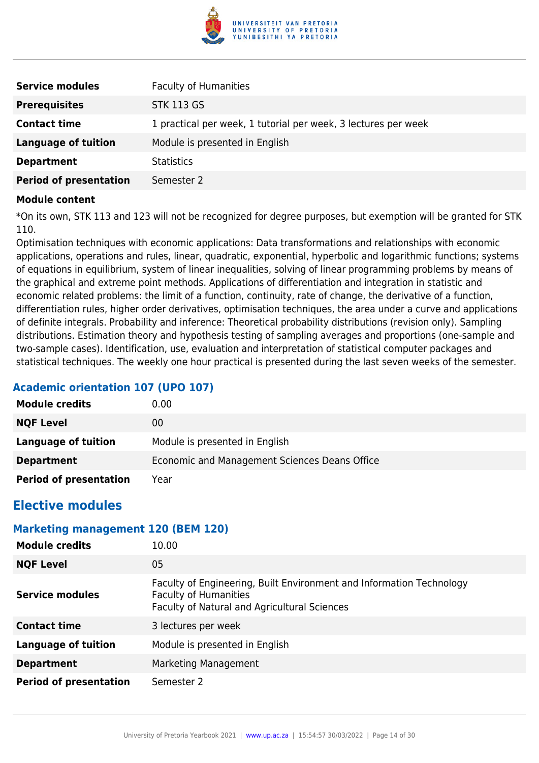

| <b>Service modules</b>        | <b>Faculty of Humanities</b>                                   |
|-------------------------------|----------------------------------------------------------------|
| <b>Prerequisites</b>          | <b>STK 113 GS</b>                                              |
| <b>Contact time</b>           | 1 practical per week, 1 tutorial per week, 3 lectures per week |
| Language of tuition           | Module is presented in English                                 |
| <b>Department</b>             | <b>Statistics</b>                                              |
| <b>Period of presentation</b> | Semester 2                                                     |

\*On its own, STK 113 and 123 will not be recognized for degree purposes, but exemption will be granted for STK 110.

Optimisation techniques with economic applications: Data transformations and relationships with economic applications, operations and rules, linear, quadratic, exponential, hyperbolic and logarithmic functions; systems of equations in equilibrium, system of linear inequalities, solving of linear programming problems by means of the graphical and extreme point methods. Applications of differentiation and integration in statistic and economic related problems: the limit of a function, continuity, rate of change, the derivative of a function, differentiation rules, higher order derivatives, optimisation techniques, the area under a curve and applications of definite integrals. Probability and inference: Theoretical probability distributions (revision only). Sampling distributions. Estimation theory and hypothesis testing of sampling averages and proportions (one-sample and two-sample cases). Identification, use, evaluation and interpretation of statistical computer packages and statistical techniques. The weekly one hour practical is presented during the last seven weeks of the semester.

## **Academic orientation 107 (UPO 107)**

| <b>Module credits</b>         | 0.00                                          |
|-------------------------------|-----------------------------------------------|
| <b>NQF Level</b>              | 00                                            |
| Language of tuition           | Module is presented in English                |
| <b>Department</b>             | Economic and Management Sciences Deans Office |
| <b>Period of presentation</b> | Year                                          |

## **Elective modules**

#### **Marketing management 120 (BEM 120)**

| <b>Module credits</b>         | 10.00                                                                                                                                                |
|-------------------------------|------------------------------------------------------------------------------------------------------------------------------------------------------|
| <b>NQF Level</b>              | 05                                                                                                                                                   |
| <b>Service modules</b>        | Faculty of Engineering, Built Environment and Information Technology<br><b>Faculty of Humanities</b><br>Faculty of Natural and Agricultural Sciences |
| <b>Contact time</b>           | 3 lectures per week                                                                                                                                  |
| <b>Language of tuition</b>    | Module is presented in English                                                                                                                       |
| <b>Department</b>             | Marketing Management                                                                                                                                 |
| <b>Period of presentation</b> | Semester 2                                                                                                                                           |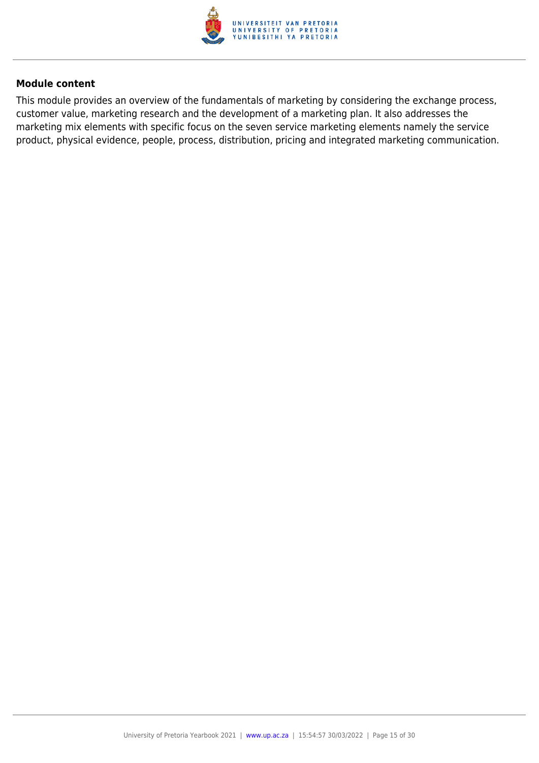

This module provides an overview of the fundamentals of marketing by considering the exchange process, customer value, marketing research and the development of a marketing plan. It also addresses the marketing mix elements with specific focus on the seven service marketing elements namely the service product, physical evidence, people, process, distribution, pricing and integrated marketing communication.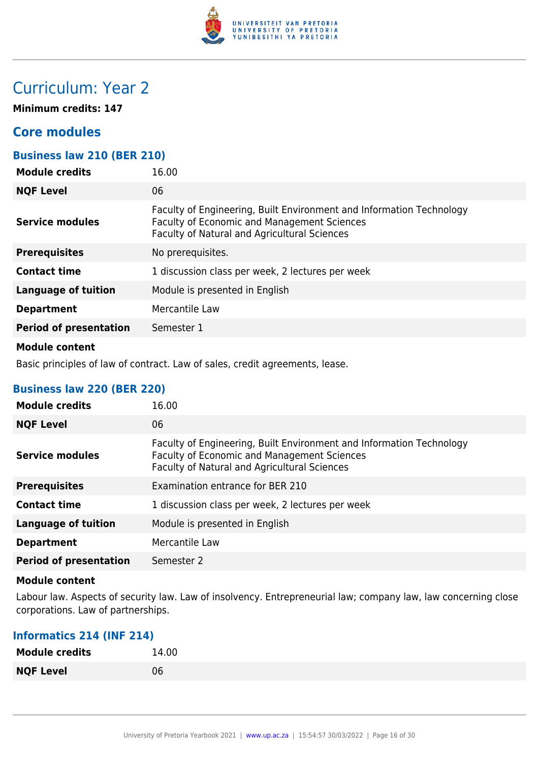

## Curriculum: Year 2

**Minimum credits: 147**

## **Core modules**

## **Business law 210 (BER 210)**

| <b>Module credits</b>         | 16.00                                                                                                                                                                             |
|-------------------------------|-----------------------------------------------------------------------------------------------------------------------------------------------------------------------------------|
| <b>NQF Level</b>              | 06                                                                                                                                                                                |
| <b>Service modules</b>        | Faculty of Engineering, Built Environment and Information Technology<br><b>Faculty of Economic and Management Sciences</b><br><b>Faculty of Natural and Agricultural Sciences</b> |
| <b>Prerequisites</b>          | No prerequisites.                                                                                                                                                                 |
| <b>Contact time</b>           | 1 discussion class per week, 2 lectures per week                                                                                                                                  |
| <b>Language of tuition</b>    | Module is presented in English                                                                                                                                                    |
| <b>Department</b>             | Mercantile Law                                                                                                                                                                    |
| <b>Period of presentation</b> | Semester 1                                                                                                                                                                        |
|                               |                                                                                                                                                                                   |

#### **Module content**

Basic principles of law of contract. Law of sales, credit agreements, lease.

#### **Business law 220 (BER 220)**

| <b>Module credits</b>         | 16.00                                                                                                                                                               |
|-------------------------------|---------------------------------------------------------------------------------------------------------------------------------------------------------------------|
| <b>NQF Level</b>              | 06                                                                                                                                                                  |
| Service modules               | Faculty of Engineering, Built Environment and Information Technology<br>Faculty of Economic and Management Sciences<br>Faculty of Natural and Agricultural Sciences |
| <b>Prerequisites</b>          | Examination entrance for BER 210                                                                                                                                    |
| <b>Contact time</b>           | 1 discussion class per week, 2 lectures per week                                                                                                                    |
| <b>Language of tuition</b>    | Module is presented in English                                                                                                                                      |
| <b>Department</b>             | Mercantile Law                                                                                                                                                      |
| <b>Period of presentation</b> | Semester 2                                                                                                                                                          |

#### **Module content**

Labour law. Aspects of security law. Law of insolvency. Entrepreneurial law; company law, law concerning close corporations. Law of partnerships.

#### **Informatics 214 (INF 214)**

| <b>Module credits</b> | 14.00 |
|-----------------------|-------|
| <b>NQF Level</b>      | 06    |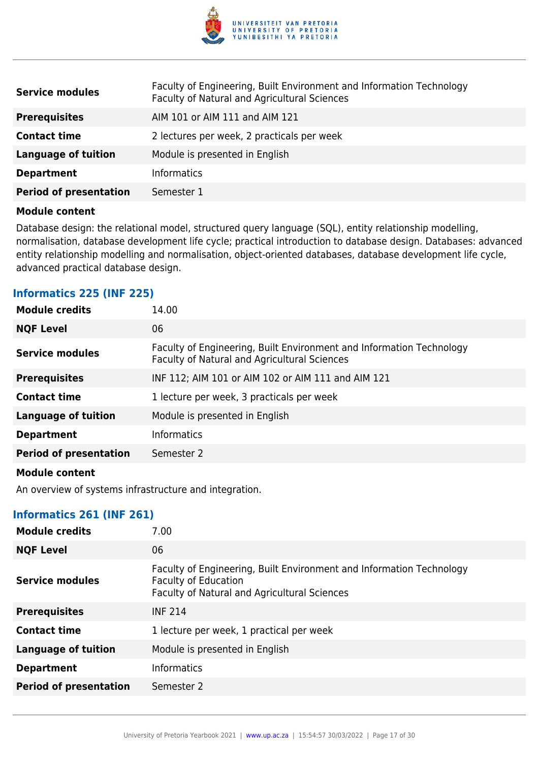

| <b>Service modules</b>        | Faculty of Engineering, Built Environment and Information Technology<br>Faculty of Natural and Agricultural Sciences |
|-------------------------------|----------------------------------------------------------------------------------------------------------------------|
| <b>Prerequisites</b>          | AIM 101 or AIM 111 and AIM 121                                                                                       |
| <b>Contact time</b>           | 2 lectures per week, 2 practicals per week                                                                           |
| <b>Language of tuition</b>    | Module is presented in English                                                                                       |
| <b>Department</b>             | <b>Informatics</b>                                                                                                   |
| <b>Period of presentation</b> | Semester 1                                                                                                           |

Database design: the relational model, structured query language (SQL), entity relationship modelling, normalisation, database development life cycle; practical introduction to database design. Databases: advanced entity relationship modelling and normalisation, object-oriented databases, database development life cycle, advanced practical database design.

#### **Informatics 225 (INF 225)**

| <b>Module credits</b>                                                                                                                                                                                                                | 14.00                                                                                                                |
|--------------------------------------------------------------------------------------------------------------------------------------------------------------------------------------------------------------------------------------|----------------------------------------------------------------------------------------------------------------------|
| <b>NQF Level</b>                                                                                                                                                                                                                     | 06                                                                                                                   |
| <b>Service modules</b>                                                                                                                                                                                                               | Faculty of Engineering, Built Environment and Information Technology<br>Faculty of Natural and Agricultural Sciences |
| <b>Prerequisites</b>                                                                                                                                                                                                                 | INF 112; AIM 101 or AIM 102 or AIM 111 and AIM 121                                                                   |
| <b>Contact time</b>                                                                                                                                                                                                                  | 1 lecture per week, 3 practicals per week                                                                            |
| <b>Language of tuition</b>                                                                                                                                                                                                           | Module is presented in English                                                                                       |
| <b>Department</b>                                                                                                                                                                                                                    | <b>Informatics</b>                                                                                                   |
| <b>Period of presentation</b>                                                                                                                                                                                                        | Semester 2                                                                                                           |
| <b>Advised and an advised to the set of the set of the set of the set of the set of the set of the set of the set of the set of the set of the set of the set of the set of the set of the set of the set of the set of the set </b> |                                                                                                                      |

#### **Module content**

An overview of systems infrastructure and integration.

#### **Informatics 261 (INF 261)**

| <b>Module credits</b>         | 7.00                                                                                                                                                |
|-------------------------------|-----------------------------------------------------------------------------------------------------------------------------------------------------|
| <b>NQF Level</b>              | 06                                                                                                                                                  |
| Service modules               | Faculty of Engineering, Built Environment and Information Technology<br><b>Faculty of Education</b><br>Faculty of Natural and Agricultural Sciences |
| <b>Prerequisites</b>          | <b>INF 214</b>                                                                                                                                      |
| <b>Contact time</b>           | 1 lecture per week, 1 practical per week                                                                                                            |
| <b>Language of tuition</b>    | Module is presented in English                                                                                                                      |
| <b>Department</b>             | <b>Informatics</b>                                                                                                                                  |
| <b>Period of presentation</b> | Semester 2                                                                                                                                          |
|                               |                                                                                                                                                     |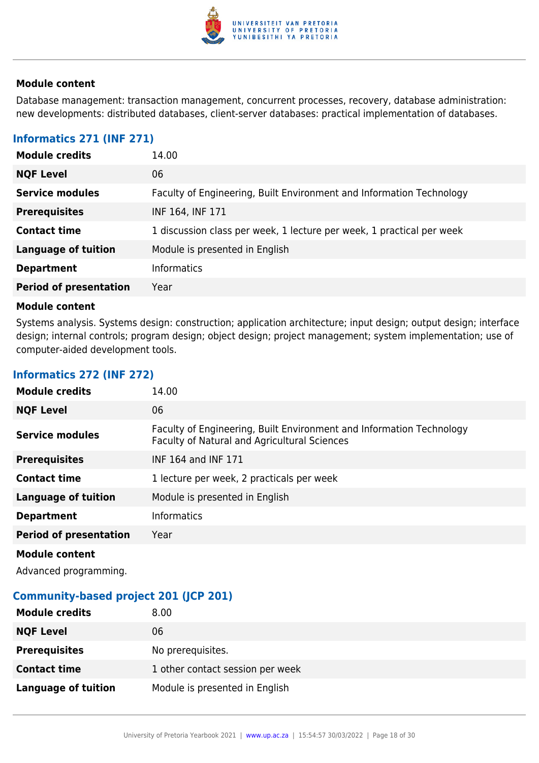

Database management: transaction management, concurrent processes, recovery, database administration: new developments: distributed databases, client-server databases: practical implementation of databases.

### **Informatics 271 (INF 271)**

| <b>Module credits</b>         | 14.00                                                                 |
|-------------------------------|-----------------------------------------------------------------------|
| <b>NQF Level</b>              | 06                                                                    |
| <b>Service modules</b>        | Faculty of Engineering, Built Environment and Information Technology  |
| <b>Prerequisites</b>          | INF 164, INF 171                                                      |
| <b>Contact time</b>           | 1 discussion class per week, 1 lecture per week, 1 practical per week |
| <b>Language of tuition</b>    | Module is presented in English                                        |
| <b>Department</b>             | <b>Informatics</b>                                                    |
| <b>Period of presentation</b> | Year                                                                  |

#### **Module content**

Systems analysis. Systems design: construction; application architecture; input design; output design; interface design; internal controls; program design; object design; project management; system implementation; use of computer-aided development tools.

| <b>Module credits</b>         | 14.00                                                                                                                |
|-------------------------------|----------------------------------------------------------------------------------------------------------------------|
| <b>NQF Level</b>              | 06                                                                                                                   |
| <b>Service modules</b>        | Faculty of Engineering, Built Environment and Information Technology<br>Faculty of Natural and Agricultural Sciences |
| <b>Prerequisites</b>          | INF 164 and INF 171                                                                                                  |
| <b>Contact time</b>           | 1 lecture per week, 2 practicals per week                                                                            |
| <b>Language of tuition</b>    | Module is presented in English                                                                                       |
| <b>Department</b>             | <b>Informatics</b>                                                                                                   |
| <b>Period of presentation</b> | Year                                                                                                                 |
| <b>Module content</b>         |                                                                                                                      |

## **Informatics 272 (INF 272)**

Advanced programming.

#### **Community-based project 201 (JCP 201)**

| <b>Module credits</b>      | 8.00                             |
|----------------------------|----------------------------------|
| <b>NQF Level</b>           | 06                               |
| <b>Prerequisites</b>       | No prerequisites.                |
| <b>Contact time</b>        | 1 other contact session per week |
| <b>Language of tuition</b> | Module is presented in English   |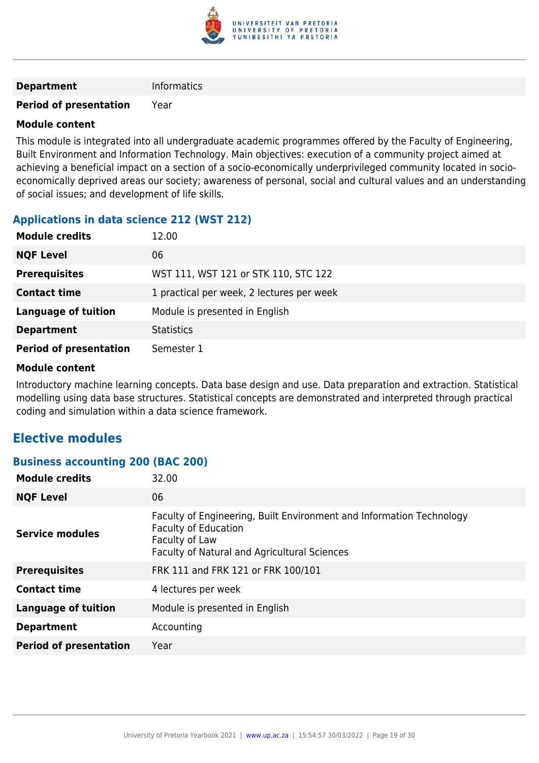

#### **Department** Informatics

#### **Period of presentation** Year

#### **Module content**

This module is integrated into all undergraduate academic programmes offered by the Faculty of Engineering, Built Environment and Information Technology. Main objectives: execution of a community project aimed at achieving a beneficial impact on a section of a socio-economically underprivileged community located in socioeconomically deprived areas our society; awareness of personal, social and cultural values and an understanding of social issues; and development of life skills.

## **Applications in data science 212 (WST 212)**

| <b>Module credits</b>         | 12.00                                     |
|-------------------------------|-------------------------------------------|
| <b>NQF Level</b>              | 06                                        |
| <b>Prerequisites</b>          | WST 111, WST 121 or STK 110, STC 122      |
| <b>Contact time</b>           | 1 practical per week, 2 lectures per week |
| <b>Language of tuition</b>    | Module is presented in English            |
| <b>Department</b>             | <b>Statistics</b>                         |
| <b>Period of presentation</b> | Semester 1                                |

#### **Module content**

Introductory machine learning concepts. Data base design and use. Data preparation and extraction. Statistical modelling using data base structures. Statistical concepts are demonstrated and interpreted through practical coding and simulation within a data science framework.

## **Elective modules**

#### **Business accounting 200 (BAC 200)**

| <b>Module credits</b>         | 32.00                                                                                                                                                                 |
|-------------------------------|-----------------------------------------------------------------------------------------------------------------------------------------------------------------------|
| <b>NQF Level</b>              | 06                                                                                                                                                                    |
| <b>Service modules</b>        | Faculty of Engineering, Built Environment and Information Technology<br><b>Faculty of Education</b><br>Faculty of Law<br>Faculty of Natural and Agricultural Sciences |
| <b>Prerequisites</b>          | FRK 111 and FRK 121 or FRK 100/101                                                                                                                                    |
| <b>Contact time</b>           | 4 lectures per week                                                                                                                                                   |
| <b>Language of tuition</b>    | Module is presented in English                                                                                                                                        |
| <b>Department</b>             | Accounting                                                                                                                                                            |
| <b>Period of presentation</b> | Year                                                                                                                                                                  |
|                               |                                                                                                                                                                       |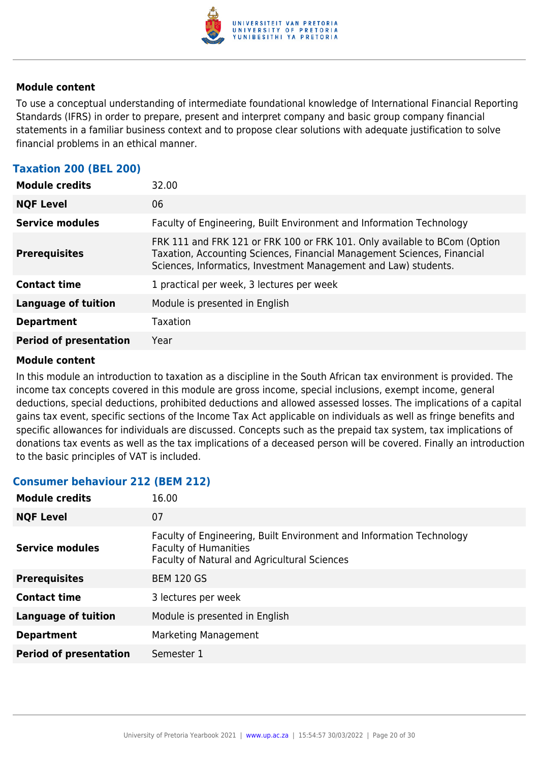

To use a conceptual understanding of intermediate foundational knowledge of International Financial Reporting Standards (IFRS) in order to prepare, present and interpret company and basic group company financial statements in a familiar business context and to propose clear solutions with adequate justification to solve financial problems in an ethical manner.

## **Taxation 200 (BEL 200)**

| <b>Module credits</b>         | 32.00                                                                                                                                                                                                                   |
|-------------------------------|-------------------------------------------------------------------------------------------------------------------------------------------------------------------------------------------------------------------------|
| <b>NQF Level</b>              | 06                                                                                                                                                                                                                      |
| <b>Service modules</b>        | Faculty of Engineering, Built Environment and Information Technology                                                                                                                                                    |
| <b>Prerequisites</b>          | FRK 111 and FRK 121 or FRK 100 or FRK 101. Only available to BCom (Option<br>Taxation, Accounting Sciences, Financial Management Sciences, Financial<br>Sciences, Informatics, Investment Management and Law) students. |
| <b>Contact time</b>           | 1 practical per week, 3 lectures per week                                                                                                                                                                               |
| <b>Language of tuition</b>    | Module is presented in English                                                                                                                                                                                          |
| <b>Department</b>             | Taxation                                                                                                                                                                                                                |
| <b>Period of presentation</b> | Year                                                                                                                                                                                                                    |

#### **Module content**

In this module an introduction to taxation as a discipline in the South African tax environment is provided. The income tax concepts covered in this module are gross income, special inclusions, exempt income, general deductions, special deductions, prohibited deductions and allowed assessed losses. The implications of a capital gains tax event, specific sections of the Income Tax Act applicable on individuals as well as fringe benefits and specific allowances for individuals are discussed. Concepts such as the prepaid tax system, tax implications of donations tax events as well as the tax implications of a deceased person will be covered. Finally an introduction to the basic principles of VAT is included.

#### **Consumer behaviour 212 (BEM 212)**

| <b>Module credits</b>         | 16.00                                                                                                                                                |
|-------------------------------|------------------------------------------------------------------------------------------------------------------------------------------------------|
| <b>NQF Level</b>              | 07                                                                                                                                                   |
| Service modules               | Faculty of Engineering, Built Environment and Information Technology<br><b>Faculty of Humanities</b><br>Faculty of Natural and Agricultural Sciences |
| <b>Prerequisites</b>          | <b>BEM 120 GS</b>                                                                                                                                    |
| <b>Contact time</b>           | 3 lectures per week                                                                                                                                  |
| <b>Language of tuition</b>    | Module is presented in English                                                                                                                       |
| <b>Department</b>             | Marketing Management                                                                                                                                 |
| <b>Period of presentation</b> | Semester 1                                                                                                                                           |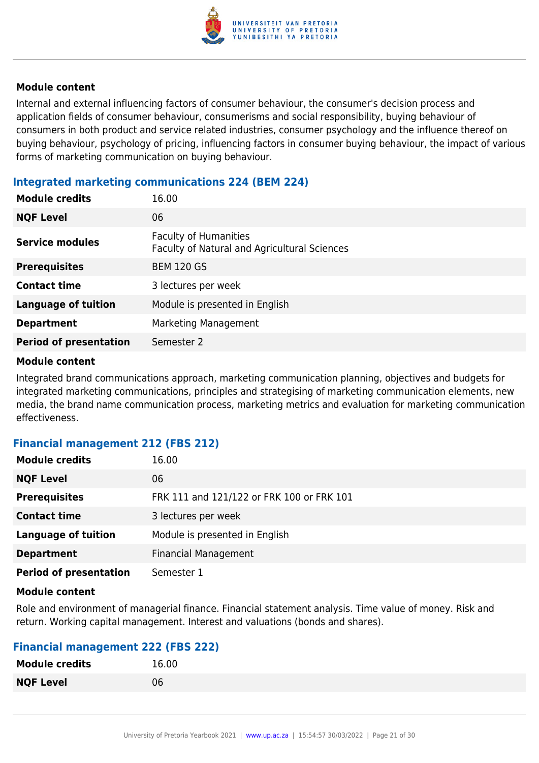

Internal and external influencing factors of consumer behaviour, the consumer's decision process and application fields of consumer behaviour, consumerisms and social responsibility, buying behaviour of consumers in both product and service related industries, consumer psychology and the influence thereof on buying behaviour, psychology of pricing, influencing factors in consumer buying behaviour, the impact of various forms of marketing communication on buying behaviour.

### **Integrated marketing communications 224 (BEM 224)**

| <b>Module credits</b>         | 16.00                                                                        |
|-------------------------------|------------------------------------------------------------------------------|
| <b>NQF Level</b>              | 06                                                                           |
| <b>Service modules</b>        | <b>Faculty of Humanities</b><br>Faculty of Natural and Agricultural Sciences |
| <b>Prerequisites</b>          | <b>BEM 120 GS</b>                                                            |
| <b>Contact time</b>           | 3 lectures per week                                                          |
| <b>Language of tuition</b>    | Module is presented in English                                               |
| <b>Department</b>             | Marketing Management                                                         |
| <b>Period of presentation</b> | Semester 2                                                                   |

#### **Module content**

Integrated brand communications approach, marketing communication planning, objectives and budgets for integrated marketing communications, principles and strategising of marketing communication elements, new media, the brand name communication process, marketing metrics and evaluation for marketing communication effectiveness.

#### **Financial management 212 (FBS 212)**

| <b>Module credits</b>         | 16.00                                     |
|-------------------------------|-------------------------------------------|
| <b>NQF Level</b>              | 06                                        |
| <b>Prerequisites</b>          | FRK 111 and 121/122 or FRK 100 or FRK 101 |
| <b>Contact time</b>           | 3 lectures per week                       |
| <b>Language of tuition</b>    | Module is presented in English            |
| <b>Department</b>             | <b>Financial Management</b>               |
| <b>Period of presentation</b> | Semester 1                                |

#### **Module content**

Role and environment of managerial finance. Financial statement analysis. Time value of money. Risk and return. Working capital management. Interest and valuations (bonds and shares).

## **Financial management 222 (FBS 222)**

| <b>Module credits</b> | 16.00 |
|-----------------------|-------|
| <b>NQF Level</b>      | 06    |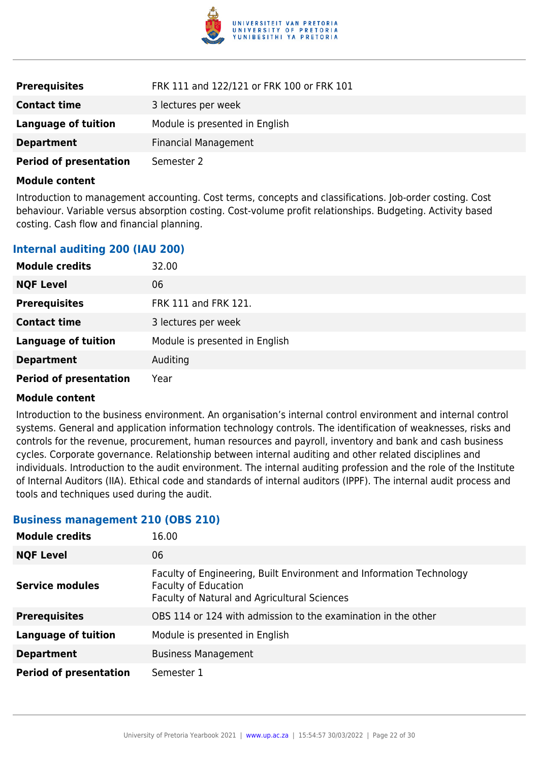

| <b>Prerequisites</b>          | FRK 111 and 122/121 or FRK 100 or FRK 101 |
|-------------------------------|-------------------------------------------|
| <b>Contact time</b>           | 3 lectures per week                       |
| Language of tuition           | Module is presented in English            |
| <b>Department</b>             | <b>Financial Management</b>               |
| <b>Period of presentation</b> | Semester 2                                |

Introduction to management accounting. Cost terms, concepts and classifications. Job-order costing. Cost behaviour. Variable versus absorption costing. Cost-volume profit relationships. Budgeting. Activity based costing. Cash flow and financial planning.

#### **Internal auditing 200 (IAU 200)**

| <b>Module credits</b>         | 32.00                          |
|-------------------------------|--------------------------------|
| <b>NQF Level</b>              | 06                             |
| <b>Prerequisites</b>          | FRK 111 and FRK 121.           |
| <b>Contact time</b>           | 3 lectures per week            |
| <b>Language of tuition</b>    | Module is presented in English |
| <b>Department</b>             | Auditing                       |
| <b>Period of presentation</b> | Year                           |

#### **Module content**

Introduction to the business environment. An organisation's internal control environment and internal control systems. General and application information technology controls. The identification of weaknesses, risks and controls for the revenue, procurement, human resources and payroll, inventory and bank and cash business cycles. Corporate governance. Relationship between internal auditing and other related disciplines and individuals. Introduction to the audit environment. The internal auditing profession and the role of the Institute of Internal Auditors (IIA). Ethical code and standards of internal auditors (IPPF). The internal audit process and tools and techniques used during the audit.

#### **Business management 210 (OBS 210)**

| <b>Module credits</b>         | 16.00                                                                                                                                               |
|-------------------------------|-----------------------------------------------------------------------------------------------------------------------------------------------------|
| <b>NQF Level</b>              | 06                                                                                                                                                  |
| <b>Service modules</b>        | Faculty of Engineering, Built Environment and Information Technology<br><b>Faculty of Education</b><br>Faculty of Natural and Agricultural Sciences |
| <b>Prerequisites</b>          | OBS 114 or 124 with admission to the examination in the other                                                                                       |
| <b>Language of tuition</b>    | Module is presented in English                                                                                                                      |
| <b>Department</b>             | <b>Business Management</b>                                                                                                                          |
| <b>Period of presentation</b> | Semester 1                                                                                                                                          |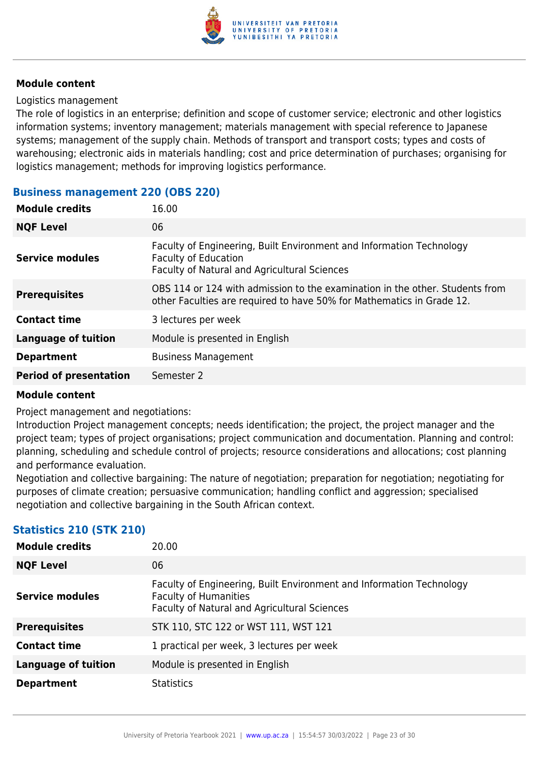

#### Logistics management

The role of logistics in an enterprise; definition and scope of customer service; electronic and other logistics information systems; inventory management; materials management with special reference to Japanese systems; management of the supply chain. Methods of transport and transport costs; types and costs of warehousing; electronic aids in materials handling; cost and price determination of purchases; organising for logistics management; methods for improving logistics performance.

#### **Business management 220 (OBS 220)**

| <b>Module credits</b>         | 16.00                                                                                                                                                 |
|-------------------------------|-------------------------------------------------------------------------------------------------------------------------------------------------------|
| <b>NQF Level</b>              | 06                                                                                                                                                    |
| <b>Service modules</b>        | Faculty of Engineering, Built Environment and Information Technology<br><b>Faculty of Education</b><br>Faculty of Natural and Agricultural Sciences   |
| <b>Prerequisites</b>          | OBS 114 or 124 with admission to the examination in the other. Students from<br>other Faculties are required to have 50% for Mathematics in Grade 12. |
| <b>Contact time</b>           | 3 lectures per week                                                                                                                                   |
| <b>Language of tuition</b>    | Module is presented in English                                                                                                                        |
| <b>Department</b>             | <b>Business Management</b>                                                                                                                            |
| <b>Period of presentation</b> | Semester 2                                                                                                                                            |
|                               |                                                                                                                                                       |

#### **Module content**

Project management and negotiations:

Introduction Project management concepts; needs identification; the project, the project manager and the project team; types of project organisations; project communication and documentation. Planning and control: planning, scheduling and schedule control of projects; resource considerations and allocations; cost planning and performance evaluation.

Negotiation and collective bargaining: The nature of negotiation; preparation for negotiation; negotiating for purposes of climate creation; persuasive communication; handling conflict and aggression; specialised negotiation and collective bargaining in the South African context.

## **Statistics 210 (STK 210)**

| <b>Module credits</b>      | 20.00                                                                                                                                                       |
|----------------------------|-------------------------------------------------------------------------------------------------------------------------------------------------------------|
| <b>NQF Level</b>           | 06                                                                                                                                                          |
| <b>Service modules</b>     | Faculty of Engineering, Built Environment and Information Technology<br><b>Faculty of Humanities</b><br><b>Faculty of Natural and Agricultural Sciences</b> |
| <b>Prerequisites</b>       | STK 110, STC 122 or WST 111, WST 121                                                                                                                        |
| <b>Contact time</b>        | 1 practical per week, 3 lectures per week                                                                                                                   |
| <b>Language of tuition</b> | Module is presented in English                                                                                                                              |
| <b>Department</b>          | <b>Statistics</b>                                                                                                                                           |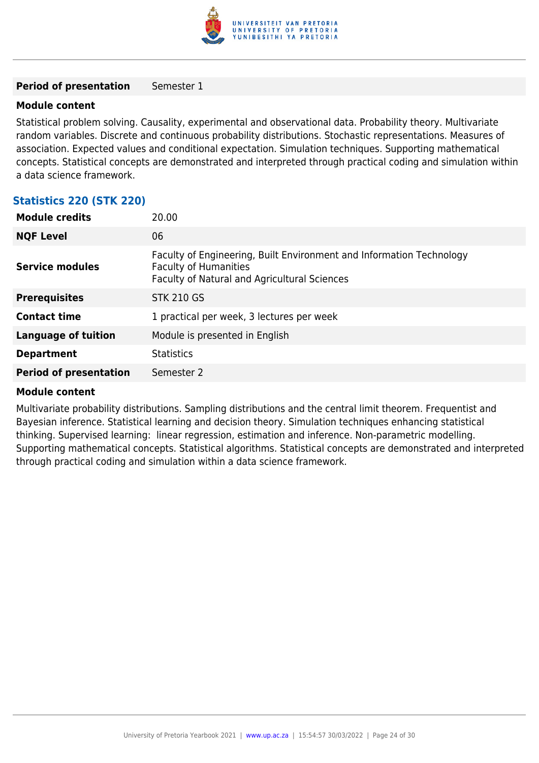

#### **Period of presentation** Semester 1

#### **Module content**

Statistical problem solving. Causality, experimental and observational data. Probability theory. Multivariate random variables. Discrete and continuous probability distributions. Stochastic representations. Measures of association. Expected values and conditional expectation. Simulation techniques. Supporting mathematical concepts. Statistical concepts are demonstrated and interpreted through practical coding and simulation within a data science framework.

#### **Statistics 220 (STK 220)**

| <b>Module credits</b><br>20.00                               |                                                                                                                      |
|--------------------------------------------------------------|----------------------------------------------------------------------------------------------------------------------|
| <b>NQF Level</b><br>06                                       |                                                                                                                      |
| <b>Faculty of Humanities</b><br><b>Service modules</b>       | Faculty of Engineering, Built Environment and Information Technology<br>Faculty of Natural and Agricultural Sciences |
| <b>STK 210 GS</b><br><b>Prerequisites</b>                    |                                                                                                                      |
| <b>Contact time</b>                                          | 1 practical per week, 3 lectures per week                                                                            |
| <b>Language of tuition</b><br>Module is presented in English |                                                                                                                      |
| <b>Statistics</b><br><b>Department</b>                       |                                                                                                                      |
| <b>Period of presentation</b><br>Semester 2                  |                                                                                                                      |

#### **Module content**

Multivariate probability distributions. Sampling distributions and the central limit theorem. Frequentist and Bayesian inference. Statistical learning and decision theory. Simulation techniques enhancing statistical thinking. Supervised learning: linear regression, estimation and inference. Non-parametric modelling. Supporting mathematical concepts. Statistical algorithms. Statistical concepts are demonstrated and interpreted through practical coding and simulation within a data science framework.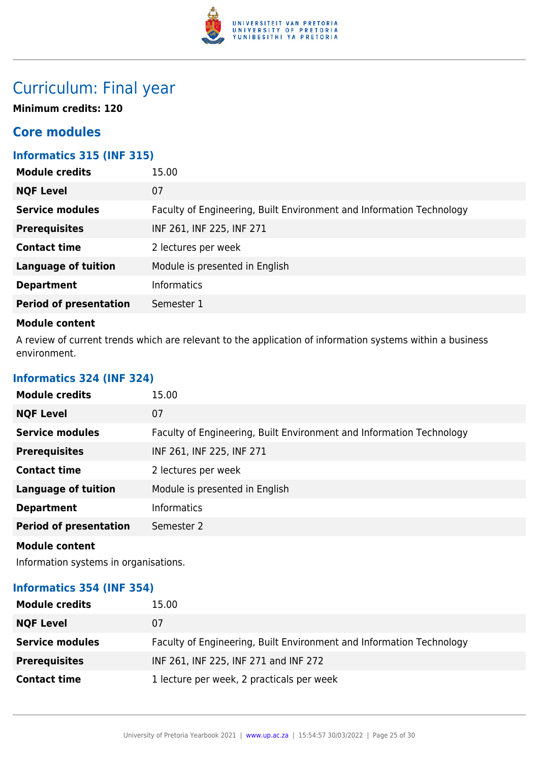

## Curriculum: Final year

**Minimum credits: 120**

## **Core modules**

## **Informatics 315 (INF 315)**

| 15.00                                                                |
|----------------------------------------------------------------------|
| 07                                                                   |
| Faculty of Engineering, Built Environment and Information Technology |
| INF 261, INF 225, INF 271                                            |
| 2 lectures per week                                                  |
| Module is presented in English                                       |
| <b>Informatics</b>                                                   |
| Semester 1                                                           |
|                                                                      |

#### **Module content**

A review of current trends which are relevant to the application of information systems within a business environment.

### **Informatics 324 (INF 324)**

| <b>Module credits</b>         | 15.00                                                                |
|-------------------------------|----------------------------------------------------------------------|
| <b>NQF Level</b>              | 07                                                                   |
| <b>Service modules</b>        | Faculty of Engineering, Built Environment and Information Technology |
| <b>Prerequisites</b>          | INF 261, INF 225, INF 271                                            |
| <b>Contact time</b>           | 2 lectures per week                                                  |
| <b>Language of tuition</b>    | Module is presented in English                                       |
| <b>Department</b>             | <b>Informatics</b>                                                   |
| <b>Period of presentation</b> | Semester 2                                                           |
| <b>Module content</b>         |                                                                      |

Information systems in organisations.

## **Informatics 354 (INF 354)**

| <b>Module credits</b>  | 15.00                                                                |
|------------------------|----------------------------------------------------------------------|
| <b>NQF Level</b>       | 07                                                                   |
| <b>Service modules</b> | Faculty of Engineering, Built Environment and Information Technology |
| <b>Prerequisites</b>   | INF 261, INF 225, INF 271 and INF 272                                |
| <b>Contact time</b>    | 1 lecture per week, 2 practicals per week                            |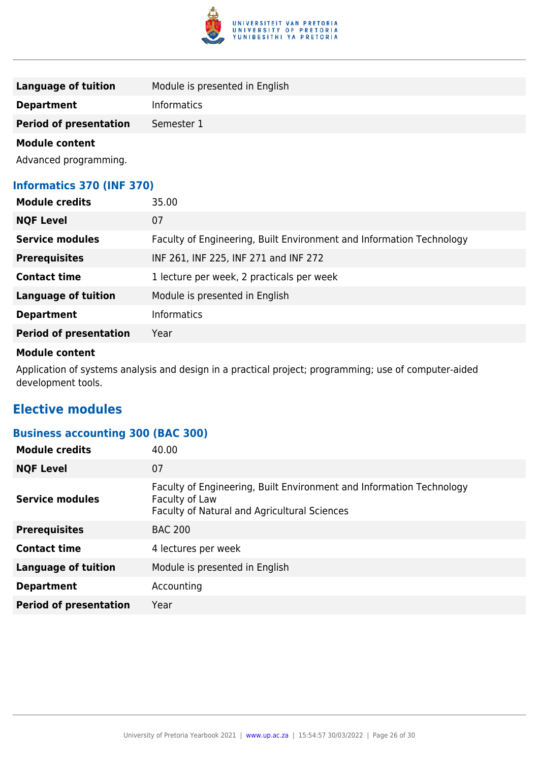

| Language of tuition           | Module is presented in English |
|-------------------------------|--------------------------------|
| <b>Department</b>             | <b>Informatics</b>             |
| <b>Period of presentation</b> | Semester 1                     |
| Madula cantant                |                                |

Advanced programming.

## **Informatics 370 (INF 370)**

| <b>Module credits</b>         | 35.00                                                                |
|-------------------------------|----------------------------------------------------------------------|
| <b>NQF Level</b>              | 07                                                                   |
| <b>Service modules</b>        | Faculty of Engineering, Built Environment and Information Technology |
| <b>Prerequisites</b>          | INF 261, INF 225, INF 271 and INF 272                                |
| <b>Contact time</b>           | 1 lecture per week, 2 practicals per week                            |
| <b>Language of tuition</b>    | Module is presented in English                                       |
| <b>Department</b>             | <b>Informatics</b>                                                   |
| <b>Period of presentation</b> | Year                                                                 |

#### **Module content**

Application of systems analysis and design in a practical project; programming; use of computer-aided development tools.

## **Elective modules**

## **Business accounting 300 (BAC 300)**

| <b>Module credits</b>         | 40.00                                                                                                                                  |
|-------------------------------|----------------------------------------------------------------------------------------------------------------------------------------|
| <b>NQF Level</b>              | 07                                                                                                                                     |
| <b>Service modules</b>        | Faculty of Engineering, Built Environment and Information Technology<br>Faculty of Law<br>Faculty of Natural and Agricultural Sciences |
| <b>Prerequisites</b>          | <b>BAC 200</b>                                                                                                                         |
| <b>Contact time</b>           | 4 lectures per week                                                                                                                    |
| <b>Language of tuition</b>    | Module is presented in English                                                                                                         |
| <b>Department</b>             | Accounting                                                                                                                             |
| <b>Period of presentation</b> | Year                                                                                                                                   |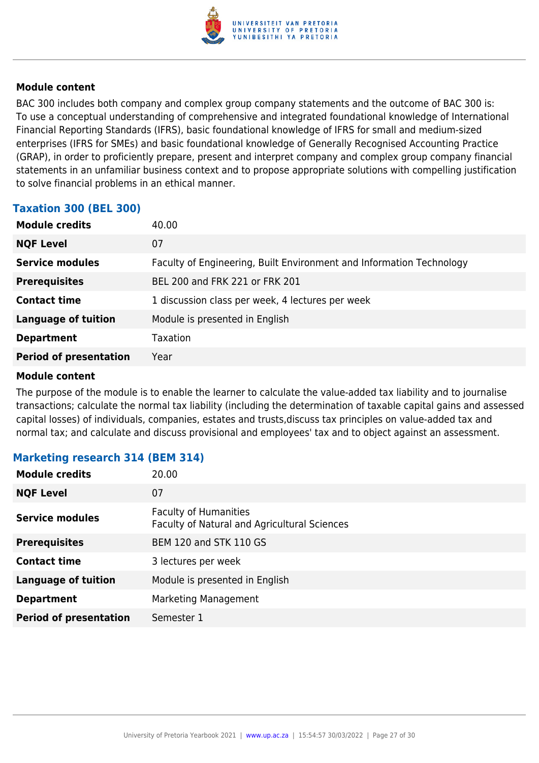

BAC 300 includes both company and complex group company statements and the outcome of BAC 300 is: To use a conceptual understanding of comprehensive and integrated foundational knowledge of International Financial Reporting Standards (IFRS), basic foundational knowledge of IFRS for small and medium-sized enterprises (IFRS for SMEs) and basic foundational knowledge of Generally Recognised Accounting Practice (GRAP), in order to proficiently prepare, present and interpret company and complex group company financial statements in an unfamiliar business context and to propose appropriate solutions with compelling justification to solve financial problems in an ethical manner.

#### **Taxation 300 (BEL 300)**

| <b>Module credits</b>         | 40.00                                                                |
|-------------------------------|----------------------------------------------------------------------|
| <b>NQF Level</b>              | 07                                                                   |
| <b>Service modules</b>        | Faculty of Engineering, Built Environment and Information Technology |
| <b>Prerequisites</b>          | BEL 200 and FRK 221 or FRK 201                                       |
| <b>Contact time</b>           | 1 discussion class per week, 4 lectures per week                     |
| <b>Language of tuition</b>    | Module is presented in English                                       |
| <b>Department</b>             | Taxation                                                             |
| <b>Period of presentation</b> | Year                                                                 |

#### **Module content**

The purpose of the module is to enable the learner to calculate the value-added tax liability and to journalise transactions; calculate the normal tax liability (including the determination of taxable capital gains and assessed capital losses) of individuals, companies, estates and trusts,discuss tax principles on value-added tax and normal tax; and calculate and discuss provisional and employees' tax and to object against an assessment.

#### **Marketing research 314 (BEM 314)**

| <b>Module credits</b>         | 20.00                                                                        |
|-------------------------------|------------------------------------------------------------------------------|
| <b>NQF Level</b>              | 07                                                                           |
| <b>Service modules</b>        | <b>Faculty of Humanities</b><br>Faculty of Natural and Agricultural Sciences |
| <b>Prerequisites</b>          | <b>BEM 120 and STK 110 GS</b>                                                |
| <b>Contact time</b>           | 3 lectures per week                                                          |
| <b>Language of tuition</b>    | Module is presented in English                                               |
| <b>Department</b>             | Marketing Management                                                         |
| <b>Period of presentation</b> | Semester 1                                                                   |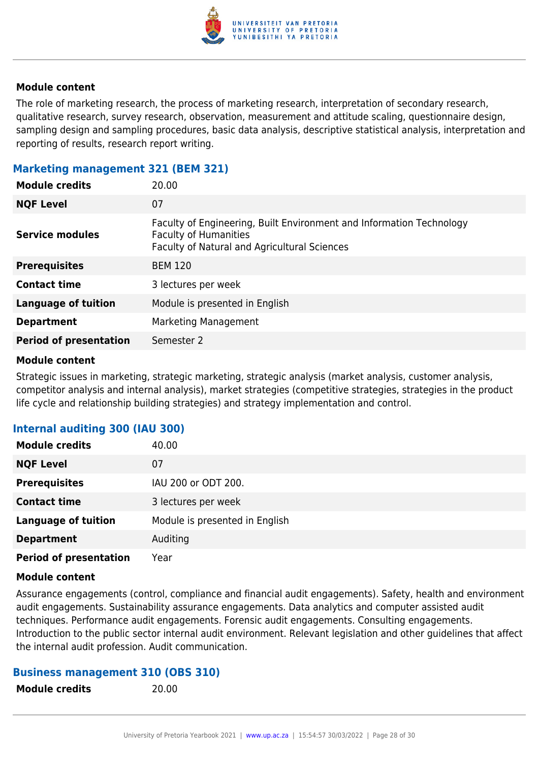

The role of marketing research, the process of marketing research, interpretation of secondary research, qualitative research, survey research, observation, measurement and attitude scaling, questionnaire design, sampling design and sampling procedures, basic data analysis, descriptive statistical analysis, interpretation and reporting of results, research report writing.

#### **Marketing management 321 (BEM 321)**

| <b>Module credits</b>         | 20.00                                                                                                                                                |
|-------------------------------|------------------------------------------------------------------------------------------------------------------------------------------------------|
| <b>NQF Level</b>              | 07                                                                                                                                                   |
| <b>Service modules</b>        | Faculty of Engineering, Built Environment and Information Technology<br><b>Faculty of Humanities</b><br>Faculty of Natural and Agricultural Sciences |
| <b>Prerequisites</b>          | <b>BEM 120</b>                                                                                                                                       |
| <b>Contact time</b>           | 3 lectures per week                                                                                                                                  |
| <b>Language of tuition</b>    | Module is presented in English                                                                                                                       |
| <b>Department</b>             | Marketing Management                                                                                                                                 |
| <b>Period of presentation</b> | Semester 2                                                                                                                                           |

#### **Module content**

Strategic issues in marketing, strategic marketing, strategic analysis (market analysis, customer analysis, competitor analysis and internal analysis), market strategies (competitive strategies, strategies in the product life cycle and relationship building strategies) and strategy implementation and control.

## **Internal auditing 300 (IAU 300)**

| <b>Module credits</b>         | 40.00                          |
|-------------------------------|--------------------------------|
| <b>NQF Level</b>              | 07                             |
| <b>Prerequisites</b>          | IAU 200 or ODT 200.            |
| <b>Contact time</b>           | 3 lectures per week            |
| <b>Language of tuition</b>    | Module is presented in English |
| <b>Department</b>             | Auditing                       |
| <b>Period of presentation</b> | Year                           |

#### **Module content**

Assurance engagements (control, compliance and financial audit engagements). Safety, health and environment audit engagements. Sustainability assurance engagements. Data analytics and computer assisted audit techniques. Performance audit engagements. Forensic audit engagements. Consulting engagements. Introduction to the public sector internal audit environment. Relevant legislation and other guidelines that affect the internal audit profession. Audit communication.

#### **Business management 310 (OBS 310)**

**Module credits** 20.00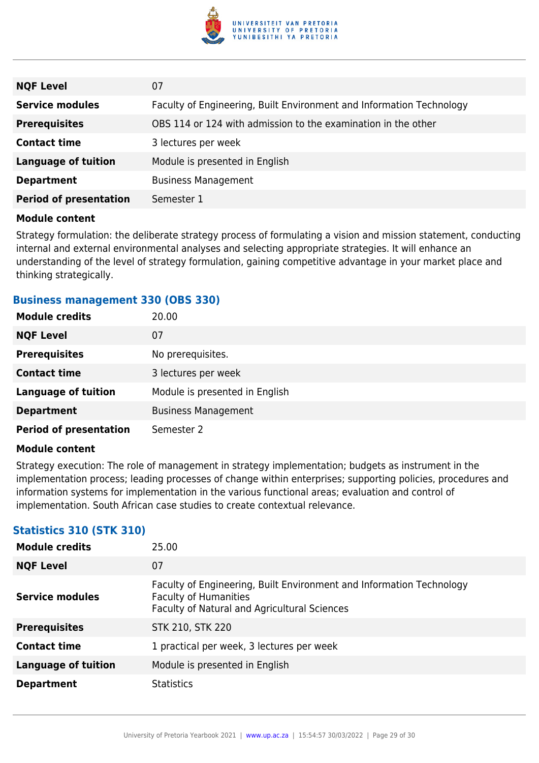

| <b>NQF Level</b>              | 07                                                                   |
|-------------------------------|----------------------------------------------------------------------|
| <b>Service modules</b>        | Faculty of Engineering, Built Environment and Information Technology |
| <b>Prerequisites</b>          | OBS 114 or 124 with admission to the examination in the other        |
| <b>Contact time</b>           | 3 lectures per week                                                  |
| <b>Language of tuition</b>    | Module is presented in English                                       |
| <b>Department</b>             | <b>Business Management</b>                                           |
| <b>Period of presentation</b> | Semester 1                                                           |

Strategy formulation: the deliberate strategy process of formulating a vision and mission statement, conducting internal and external environmental analyses and selecting appropriate strategies. It will enhance an understanding of the level of strategy formulation, gaining competitive advantage in your market place and thinking strategically.

#### **Business management 330 (OBS 330)**

| <b>Module credits</b>         | 20.00                          |
|-------------------------------|--------------------------------|
| <b>NQF Level</b>              | 07                             |
| <b>Prerequisites</b>          | No prerequisites.              |
| <b>Contact time</b>           | 3 lectures per week            |
| <b>Language of tuition</b>    | Module is presented in English |
| <b>Department</b>             | <b>Business Management</b>     |
| <b>Period of presentation</b> | Semester 2                     |

#### **Module content**

Strategy execution: The role of management in strategy implementation; budgets as instrument in the implementation process; leading processes of change within enterprises; supporting policies, procedures and information systems for implementation in the various functional areas; evaluation and control of implementation. South African case studies to create contextual relevance.

## **Statistics 310 (STK 310)**

| <b>Module credits</b>      | 25.00                                                                                                                                                |
|----------------------------|------------------------------------------------------------------------------------------------------------------------------------------------------|
| <b>NQF Level</b>           | 07                                                                                                                                                   |
| <b>Service modules</b>     | Faculty of Engineering, Built Environment and Information Technology<br><b>Faculty of Humanities</b><br>Faculty of Natural and Agricultural Sciences |
| <b>Prerequisites</b>       | <b>STK 210, STK 220</b>                                                                                                                              |
| <b>Contact time</b>        | 1 practical per week, 3 lectures per week                                                                                                            |
| <b>Language of tuition</b> | Module is presented in English                                                                                                                       |
| <b>Department</b>          | <b>Statistics</b>                                                                                                                                    |